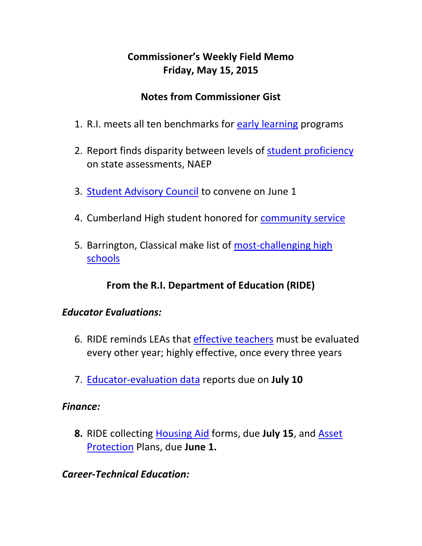# **Commissioner's Weekly Field Memo Friday, May 15, 2015**

### **Notes from Commissioner Gist**

- 1. R.I. meets all ten benchmarks for [early learning](#page-2-0) programs
- 2. Report finds disparity between levels of [student proficiency](#page-3-0) on state assessments, NAEP
- 3. **[Student Advisory Council](#page-5-0)** to convene on June 1
- 4. Cumberland High student honored for [community service](#page-5-1)
- 5. Barrington, Classical make list of [most-challenging high](#page-5-2)  [schools](#page-5-2)

## **From the R.I. Department of Education (RIDE)**

### *Educator Evaluations:*

- 6. RIDE reminds LEAs that [effective teachers](#page-6-0) must be evaluated every other year; highly effective, once every three years
- 7. [Educator-evaluation data](#page-12-0) reports due on **July 10**

#### *Finance:*

**8.** RIDE collecting [Housing Aid](#page-13-0) forms, due **July 15**, and [Asset](#page-13-0)  [Protection](#page-13-0) Plans, due **June 1.** 

### *Career-Technical Education:*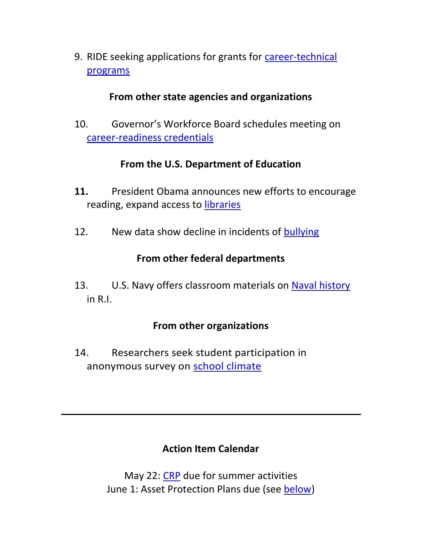9. RIDE seeking applications for grants for [career-technical](#page-15-0)  [programs](#page-15-0)

#### **From other state agencies and organizations**

10. Governor's Workforce Board schedules meeting on [career-readiness credentials](#page-17-0)

### **From the U.S. Department of Education**

- **11.** President Obama announces new efforts to encourage reading, expand access to [libraries](#page-18-0)
- 12. New data show decline in incidents of [bullying](#page-19-0)

## **From other federal departments**

13. U.S. Navy offers classroom materials on [Naval history](#page-20-0) in R.I.

### **From other organizations**

14. Researchers seek student participation in anonymous survey on [school climate](#page-21-0)

## **Action Item Calendar**

May 22: [CRP](http://www.ride.ri.gov/Portals/0/Uploads/Documents/050815-FM.pdf) due for summer activities June 1: Asset Protection Plans due (see [below\)](#page-13-0)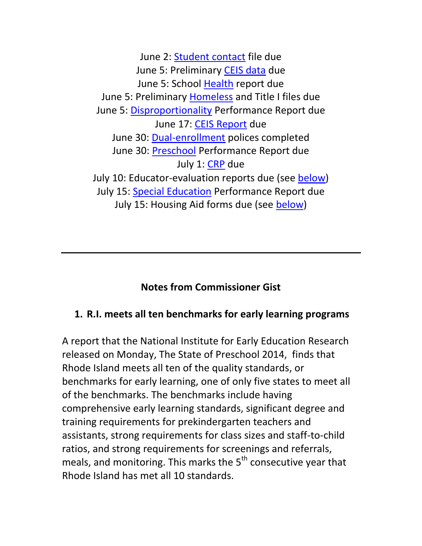June 2: [Student contact](http://www.ride.ri.gov/Portals/0/Uploads/Documents/050815-FM.pdf) file due June 5: Preliminary [CEIS data](http://ride.ri.gov/Portals/0/Uploads/Documents/FieldMemos/040315-FM.pdf) due June 5: School [Health](http://www.ride.ri.gov/Portals/0/Uploads/Documents/050815-FM.pdf) report due June 5: Preliminary [Homeless](http://www.ride.ri.gov/Portals/0/Uploads/Documents/050815-FM.pdf) and Title I files due June 5: [Disproportionality](http://www.ride.ri.gov/Portals/0/Uploads/Documents/050815-FM.pdf) Performance Report due June 17: [CEIS Report](http://ride.ri.gov/Portals/0/Uploads/Documents/FieldMemos/040315-FM.pdf) due June 30: [Dual-enrollment](http://ride.ri.gov/Portals/0/Uploads/Documents/050115-FM.pdf) polices completed June 30: [Preschool](http://www.ride.ri.gov/Portals/0/Uploads/Documents/050815-FM.pdf) Performance Report due July 1: [CRP](http://www.ride.ri.gov/Portals/0/Uploads/Documents/050815-FM.pdf) due July 10: Educator-evaluation reports due (see [below\)](#page-12-0) July 15: [Special Education](http://www.ride.ri.gov/Portals/0/Uploads/Documents/050815-FM.pdf) Performance Report due July 15: Housing Aid forms due (see [below\)](#page-13-0)

### **Notes from Commissioner Gist**

### <span id="page-2-0"></span>**1. R.I. meets all ten benchmarks for early learning programs**

A report that the National Institute for Early Education Research released on Monday, The State of Preschool 2014, finds that Rhode Island meets all ten of the quality standards, or benchmarks for early learning, one of only five states to meet all of the benchmarks. The benchmarks include having comprehensive early learning standards, significant degree and training requirements for prekindergarten teachers and assistants, strong requirements for class sizes and staff-to-child ratios, and strong requirements for screenings and referrals, meals, and monitoring. This marks the  $5<sup>th</sup>$  consecutive year that Rhode Island has met all 10 standards.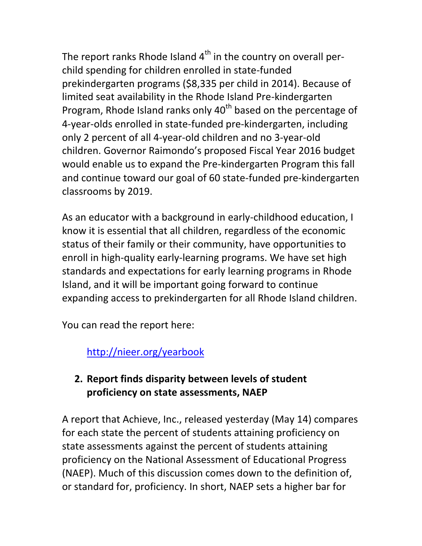The report ranks Rhode Island  $4<sup>th</sup>$  in the country on overall perchild spending for children enrolled in state-funded prekindergarten programs (\$8,335 per child in 2014). Because of limited seat availability in the Rhode Island Pre-kindergarten Program, Rhode Island ranks only  $40<sup>th</sup>$  based on the percentage of 4-year-olds enrolled in state-funded pre-kindergarten, including only 2 percent of all 4-year-old children and no 3-year-old children. Governor Raimondo's proposed Fiscal Year 2016 budget would enable us to expand the Pre-kindergarten Program this fall and continue toward our goal of 60 state-funded pre-kindergarten classrooms by 2019.

As an educator with a background in early-childhood education, I know it is essential that all children, regardless of the economic status of their family or their community, have opportunities to enroll in high-quality early-learning programs. We have set high standards and expectations for early learning programs in Rhode Island, and it will be important going forward to continue expanding access to prekindergarten for all Rhode Island children.

You can read the report here:

<http://nieer.org/yearbook>

## <span id="page-3-0"></span>**2. Report finds disparity between levels of student proficiency on state assessments, NAEP**

A report that Achieve, Inc., released yesterday (May 14) compares for each state the percent of students attaining proficiency on state assessments against the percent of students attaining proficiency on the National Assessment of Educational Progress (NAEP). Much of this discussion comes down to the definition of, or standard for, proficiency. In short, NAEP sets a higher bar for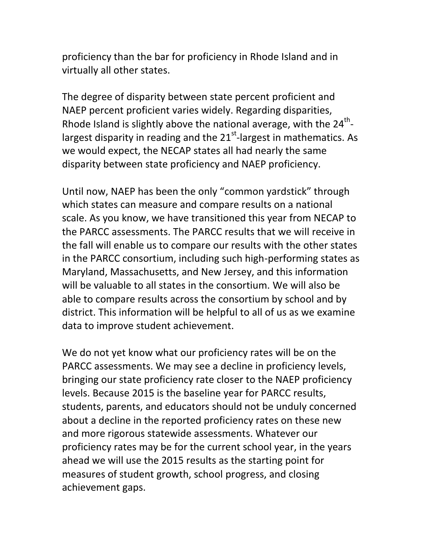proficiency than the bar for proficiency in Rhode Island and in virtually all other states.

The degree of disparity between state percent proficient and NAEP percent proficient varies widely. Regarding disparities, Rhode Island is slightly above the national average, with the 24<sup>th</sup>largest disparity in reading and the  $21<sup>st</sup>$ -largest in mathematics. As we would expect, the NECAP states all had nearly the same disparity between state proficiency and NAEP proficiency.

Until now, NAEP has been the only "common yardstick" through which states can measure and compare results on a national scale. As you know, we have transitioned this year from NECAP to the PARCC assessments. The PARCC results that we will receive in the fall will enable us to compare our results with the other states in the PARCC consortium, including such high-performing states as Maryland, Massachusetts, and New Jersey, and this information will be valuable to all states in the consortium. We will also be able to compare results across the consortium by school and by district. This information will be helpful to all of us as we examine data to improve student achievement.

We do not yet know what our proficiency rates will be on the PARCC assessments. We may see a decline in proficiency levels, bringing our state proficiency rate closer to the NAEP proficiency levels. Because 2015 is the baseline year for PARCC results, students, parents, and educators should not be unduly concerned about a decline in the reported proficiency rates on these new and more rigorous statewide assessments. Whatever our proficiency rates may be for the current school year, in the years ahead we will use the 2015 results as the starting point for measures of student growth, school progress, and closing achievement gaps.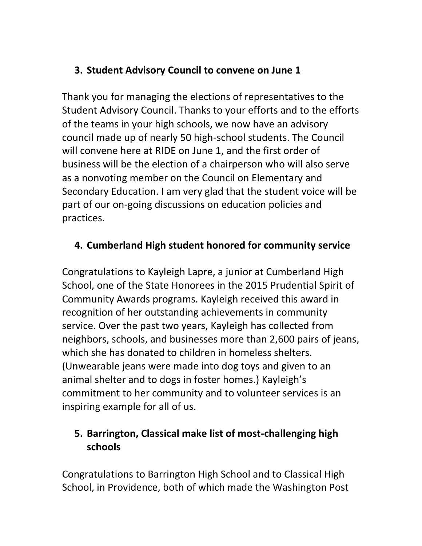# <span id="page-5-0"></span>**3. Student Advisory Council to convene on June 1**

Thank you for managing the elections of representatives to the Student Advisory Council. Thanks to your efforts and to the efforts of the teams in your high schools, we now have an advisory council made up of nearly 50 high-school students. The Council will convene here at RIDE on June 1, and the first order of business will be the election of a chairperson who will also serve as a nonvoting member on the Council on Elementary and Secondary Education. I am very glad that the student voice will be part of our on-going discussions on education policies and practices.

# <span id="page-5-1"></span>**4. Cumberland High student honored for community service**

Congratulations to Kayleigh Lapre, a junior at Cumberland High School, one of the State Honorees in the 2015 Prudential Spirit of Community Awards programs. Kayleigh received this award in recognition of her outstanding achievements in community service. Over the past two years, Kayleigh has collected from neighbors, schools, and businesses more than 2,600 pairs of jeans, which she has donated to children in homeless shelters. (Unwearable jeans were made into dog toys and given to an animal shelter and to dogs in foster homes.) Kayleigh's commitment to her community and to volunteer services is an inspiring example for all of us.

# <span id="page-5-2"></span>**5. Barrington, Classical make list of most-challenging high schools**

Congratulations to Barrington High School and to Classical High School, in Providence, both of which made the Washington Post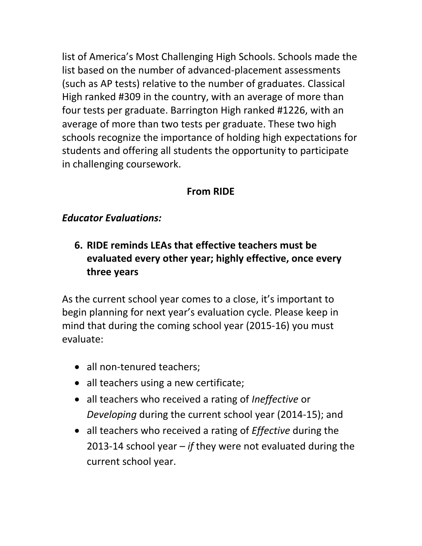list of America's Most Challenging High Schools. Schools made the list based on the number of advanced-placement assessments (such as AP tests) relative to the number of graduates. Classical High ranked #309 in the country, with an average of more than four tests per graduate. Barrington High ranked #1226, with an average of more than two tests per graduate. These two high schools recognize the importance of holding high expectations for students and offering all students the opportunity to participate in challenging coursework.

## **From RIDE**

### *Educator Evaluations:*

<span id="page-6-0"></span>**6. RIDE reminds LEAs that effective teachers must be evaluated every other year; highly effective, once every three years** 

As the current school year comes to a close, it's important to begin planning for next year's evaluation cycle. Please keep in mind that during the coming school year (2015-16) you must evaluate:

- all non-tenured teachers;
- all teachers using a new certificate;
- all teachers who received a rating of *Ineffective* or *Developing* during the current school year (2014-15); and
- all teachers who received a rating of *Effective* during the 2013-14 school year – *if* they were not evaluated during the current school year.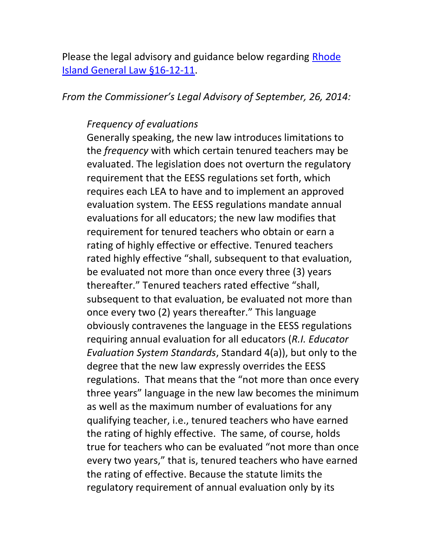Please the legal advisory and guidance below regarding [Rhode](http://www.ride.ri.gov/Portals/0/Uploads/Documents/Teachers-and-Administrators-Excellent-Educators/Educator-Evaluation/LEA-Implementation-Guidance/Interpretation_Senate_Bill_2738_Sub_A_RIGL_16_12_11.pdf)  [Island General Law §16-12-11.](http://www.ride.ri.gov/Portals/0/Uploads/Documents/Teachers-and-Administrators-Excellent-Educators/Educator-Evaluation/LEA-Implementation-Guidance/Interpretation_Senate_Bill_2738_Sub_A_RIGL_16_12_11.pdf)

#### *From the Commissioner's Legal Advisory of September, 26, 2014:*

#### *Frequency of evaluations*

Generally speaking, the new law introduces limitations to the *frequency* with which certain tenured teachers may be evaluated. The legislation does not overturn the regulatory requirement that the EESS regulations set forth, which requires each LEA to have and to implement an approved evaluation system. The EESS regulations mandate annual evaluations for all educators; the new law modifies that requirement for tenured teachers who obtain or earn a rating of highly effective or effective. Tenured teachers rated highly effective "shall, subsequent to that evaluation, be evaluated not more than once every three (3) years thereafter." Tenured teachers rated effective "shall, subsequent to that evaluation, be evaluated not more than once every two (2) years thereafter." This language obviously contravenes the language in the EESS regulations requiring annual evaluation for all educators (*R.I. Educator Evaluation System Standards*, Standard 4(a)), but only to the degree that the new law expressly overrides the EESS regulations. That means that the "not more than once every three years" language in the new law becomes the minimum as well as the maximum number of evaluations for any qualifying teacher, i.e., tenured teachers who have earned the rating of highly effective. The same, of course, holds true for teachers who can be evaluated "not more than once every two years," that is, tenured teachers who have earned the rating of effective. Because the statute limits the regulatory requirement of annual evaluation only by its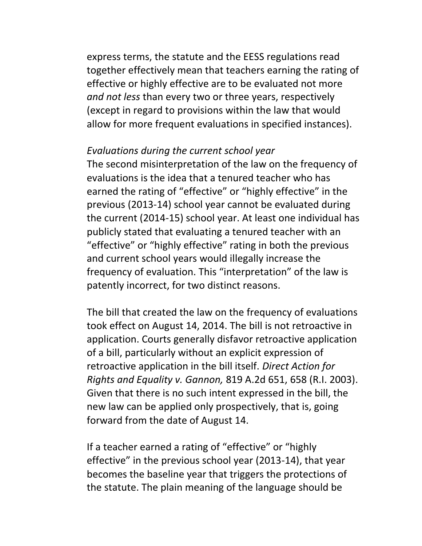express terms, the statute and the EESS regulations read together effectively mean that teachers earning the rating of effective or highly effective are to be evaluated not more *and not less* than every two or three years, respectively (except in regard to provisions within the law that would allow for more frequent evaluations in specified instances).

#### *Evaluations during the current school year*

The second misinterpretation of the law on the frequency of evaluations is the idea that a tenured teacher who has earned the rating of "effective" or "highly effective" in the previous (2013-14) school year cannot be evaluated during the current (2014-15) school year. At least one individual has publicly stated that evaluating a tenured teacher with an "effective" or "highly effective" rating in both the previous and current school years would illegally increase the frequency of evaluation. This "interpretation" of the law is patently incorrect, for two distinct reasons.

The bill that created the law on the frequency of evaluations took effect on August 14, 2014. The bill is not retroactive in application. Courts generally disfavor retroactive application of a bill, particularly without an explicit expression of retroactive application in the bill itself. *Direct Action for Rights and Equality v. Gannon,* 819 A.2d 651, 658 (R.I. 2003). Given that there is no such intent expressed in the bill, the new law can be applied only prospectively, that is, going forward from the date of August 14.

If a teacher earned a rating of "effective" or "highly effective" in the previous school year (2013-14), that year becomes the baseline year that triggers the protections of the statute. The plain meaning of the language should be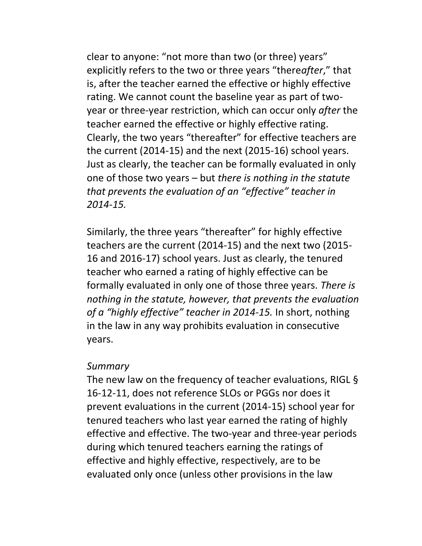clear to anyone: "not more than two (or three) years" explicitly refers to the two or three years "there*after*," that is, after the teacher earned the effective or highly effective rating. We cannot count the baseline year as part of twoyear or three-year restriction, which can occur only *after* the teacher earned the effective or highly effective rating. Clearly, the two years "thereafter" for effective teachers are the current (2014-15) and the next (2015-16) school years. Just as clearly, the teacher can be formally evaluated in only one of those two years – but *there is nothing in the statute that prevents the evaluation of an "effective" teacher in 2014-15.*

Similarly, the three years "thereafter" for highly effective teachers are the current (2014-15) and the next two (2015- 16 and 2016-17) school years. Just as clearly, the tenured teacher who earned a rating of highly effective can be formally evaluated in only one of those three years. *There is nothing in the statute, however, that prevents the evaluation of a "highly effective" teacher in 2014-15.* In short, nothing in the law in any way prohibits evaluation in consecutive years.

#### *Summary*

The new law on the frequency of teacher evaluations, RIGL § 16-12-11, does not reference SLOs or PGGs nor does it prevent evaluations in the current (2014-15) school year for tenured teachers who last year earned the rating of highly effective and effective. The two-year and three-year periods during which tenured teachers earning the ratings of effective and highly effective, respectively, are to be evaluated only once (unless other provisions in the law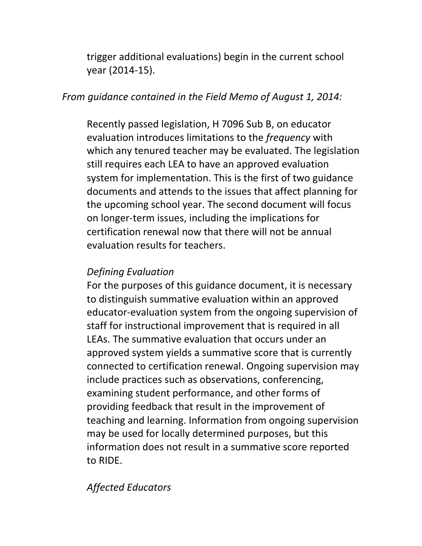trigger additional evaluations) begin in the current school year (2014-15).

#### *From guidance contained in the Field Memo of August 1, 2014:*

Recently passed legislation, H 7096 Sub B, on educator evaluation introduces limitations to the *frequency* with which any tenured teacher may be evaluated. The legislation still requires each LEA to have an approved evaluation system for implementation. This is the first of two guidance documents and attends to the issues that affect planning for the upcoming school year. The second document will focus on longer-term issues, including the implications for certification renewal now that there will not be annual evaluation results for teachers.

### *Defining Evaluation*

For the purposes of this guidance document, it is necessary to distinguish summative evaluation within an approved educator-evaluation system from the ongoing supervision of staff for instructional improvement that is required in all LEAs. The summative evaluation that occurs under an approved system yields a summative score that is currently connected to certification renewal. Ongoing supervision may include practices such as observations, conferencing, examining student performance, and other forms of providing feedback that result in the improvement of teaching and learning. Information from ongoing supervision may be used for locally determined purposes, but this information does not result in a summative score reported to RIDE.

## *Affected Educators*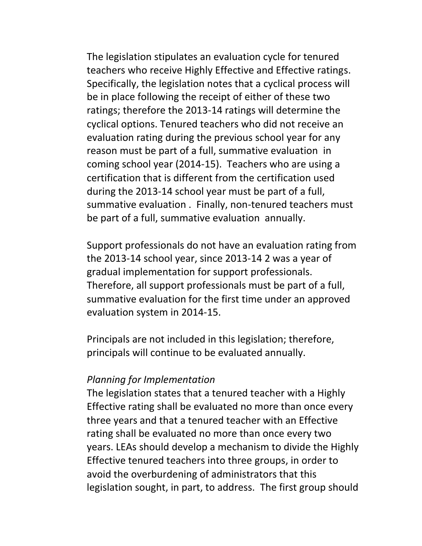The legislation stipulates an evaluation cycle for tenured teachers who receive Highly Effective and Effective ratings. Specifically, the legislation notes that a cyclical process will be in place following the receipt of either of these two ratings; therefore the 2013-14 ratings will determine the cyclical options. Tenured teachers who did not receive an evaluation rating during the previous school year for any reason must be part of a full, summative evaluation in coming school year (2014-15). Teachers who are using a certification that is different from the certification used during the 2013-14 school year must be part of a full, summative evaluation . Finally, non-tenured teachers must be part of a full, summative evaluation annually.

Support professionals do not have an evaluation rating from the 2013-14 school year, since 2013-14 2 was a year of gradual implementation for support professionals. Therefore, all support professionals must be part of a full, summative evaluation for the first time under an approved evaluation system in 2014-15.

Principals are not included in this legislation; therefore, principals will continue to be evaluated annually.

#### *Planning for Implementation*

The legislation states that a tenured teacher with a Highly Effective rating shall be evaluated no more than once every three years and that a tenured teacher with an Effective rating shall be evaluated no more than once every two years. LEAs should develop a mechanism to divide the Highly Effective tenured teachers into three groups, in order to avoid the overburdening of administrators that this legislation sought, in part, to address. The first group should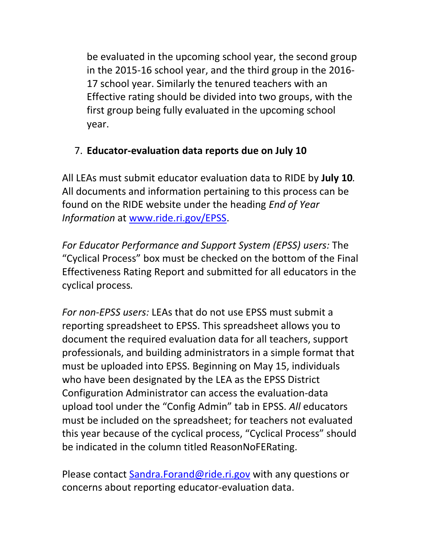be evaluated in the upcoming school year, the second group in the 2015-16 school year, and the third group in the 2016- 17 school year. Similarly the tenured teachers with an Effective rating should be divided into two groups, with the first group being fully evaluated in the upcoming school year.

### <span id="page-12-0"></span>7. **Educator-evaluation data reports due on July 10**

All LEAs must submit educator evaluation data to RIDE by **July 10***.*  All documents and information pertaining to this process can be found on the RIDE website under the heading *End of Year Information* at [www.ride.ri.gov/EPSS.](http://www.ride.ri.gov/EPSS)

*For Educator Performance and Support System (EPSS) users:* The "Cyclical Process" box must be checked on the bottom of the Final Effectiveness Rating Report and submitted for all educators in the cyclical process*.*

*For non-EPSS users:* LEAs that do not use EPSS must submit a reporting spreadsheet to EPSS. This spreadsheet allows you to document the required evaluation data for all teachers, support professionals, and building administrators in a simple format that must be uploaded into EPSS. Beginning on May 15, individuals who have been designated by the LEA as the EPSS District Configuration Administrator can access the evaluation-data upload tool under the "Config Admin" tab in EPSS. *All* educators must be included on the spreadsheet; for teachers not evaluated this year because of the cyclical process, "Cyclical Process" should be indicated in the column titled ReasonNoFERating.

Please contact [Sandra.Forand@ride.ri.gov](mailto:Sandra.Forand@ride.ri.gov) with any questions or concerns about reporting educator-evaluation data.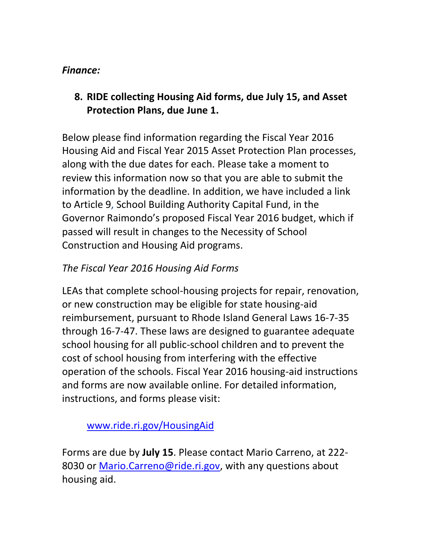#### *Finance:*

<span id="page-13-0"></span>**8. RIDE collecting Housing Aid forms, due July 15, and Asset Protection Plans, due June 1.** 

Below please find information regarding the Fiscal Year 2016 Housing Aid and Fiscal Year 2015 Asset Protection Plan processes, along with the due dates for each. Please take a moment to review this information now so that you are able to submit the information by the deadline. In addition, we have included a link to Article 9, School Building Authority Capital Fund, in the Governor Raimondo's proposed Fiscal Year 2016 budget, which if passed will result in changes to the Necessity of School Construction and Housing Aid programs.

# *The Fiscal Year 2016 Housing Aid Forms*

LEAs that complete school-housing projects for repair, renovation, or new construction may be eligible for state housing-aid reimbursement, pursuant to Rhode Island General Laws 16-7-35 through 16-7-47. These laws are designed to guarantee adequate school housing for all public-school children and to prevent the cost of school housing from interfering with the effective operation of the schools. Fiscal Year 2016 housing-aid instructions and forms are now available online. For detailed information, instructions, and forms please visit:

[www.ride.ri.gov/HousingAid](http://www.ride.ri.gov/HousingAid)

Forms are due by **July 15**. Please contact Mario Carreno, at 222- 8030 or [Mario.Carreno@ride.ri.gov,](mailto:Mario.Carreno@ride.ri.gov) with any questions about housing aid.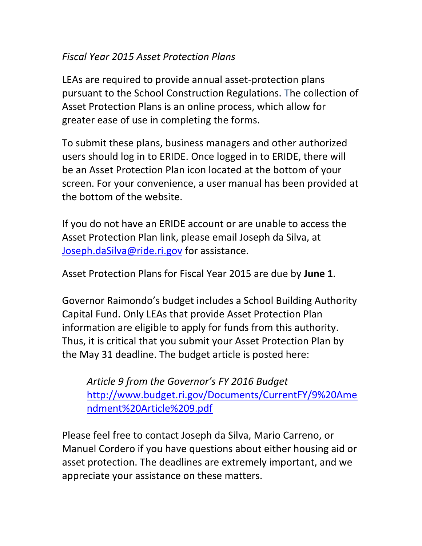### *Fiscal Year 2015 Asset Protection Plans*

LEAs are required to provide annual asset-protection plans pursuant to the School Construction Regulations. The collection of Asset Protection Plans is an online process, which allow for greater ease of use in completing the forms.

To submit these plans, business managers and other authorized users should log in to ERIDE. Once logged in to ERIDE, there will be an Asset Protection Plan icon located at the bottom of your screen. For your convenience, a user manual has been provided at the bottom of the website.

If you do not have an ERIDE account or are unable to access the Asset Protection Plan link, please email Joseph da Silva, at [Joseph.daSilva@ride.ri.gov](mailto:Joseph.daSilva@ride.ri.gov) for assistance.

Asset Protection Plans for Fiscal Year 2015 are due by **June 1**.

Governor Raimondo's budget includes a School Building Authority Capital Fund. Only LEAs that provide Asset Protection Plan information are eligible to apply for funds from this authority. Thus, it is critical that you submit your Asset Protection Plan by the May 31 deadline. The budget article is posted here:

*Article 9 from the Governor's FY 2016 Budget* [http://www.budget.ri.gov/Documents/CurrentFY/9%20Ame](http://www.budget.ri.gov/Documents/CurrentFY/9%20Amendment%20Article%209.pdf) [ndment%20Article%209.pdf](http://www.budget.ri.gov/Documents/CurrentFY/9%20Amendment%20Article%209.pdf)

Please feel free to contact Joseph da Silva, Mario Carreno, or Manuel Cordero if you have questions about either housing aid or asset protection. The deadlines are extremely important, and we appreciate your assistance on these matters.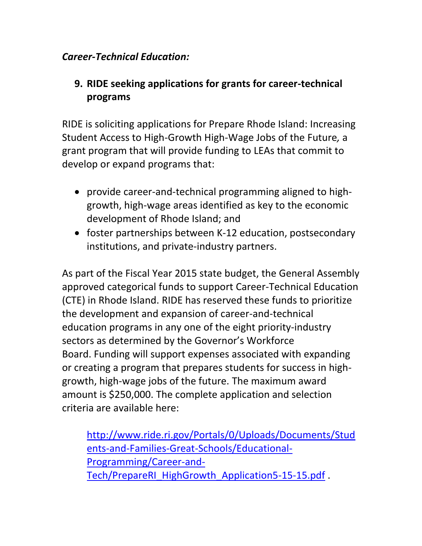### *Career-Technical Education:*

## <span id="page-15-0"></span>**9. RIDE seeking applications for grants for career-technical programs**

RIDE is soliciting applications for Prepare Rhode Island: Increasing Student Access to High-Growth High-Wage Jobs of the Future*,* a grant program that will provide funding to LEAs that commit to develop or expand programs that:

- provide career-and-technical programming aligned to highgrowth, high-wage areas identified as key to the economic development of Rhode Island; and
- foster partnerships between K-12 education, postsecondary institutions, and private-industry partners.

As part of the Fiscal Year 2015 state budget, the General Assembly approved categorical funds to support Career-Technical Education (CTE) in Rhode Island. RIDE has reserved these funds to prioritize the development and expansion of career-and-technical education programs in any one of the eight priority-industry sectors as determined by the Governor's Workforce Board. Funding will support expenses associated with expanding or creating a program that prepares students for success in highgrowth, high-wage jobs of the future. The maximum award amount is \$250,000. The complete application and selection criteria are available here:

[http://www.ride.ri.gov/Portals/0/Uploads/Documents/Stud](http://www.ride.ri.gov/Portals/0/Uploads/Documents/Students-and-Families-Great-Schools/Educational-Programming/Career-and-Tech/PrepareRI_HighGrowth_Application5-15-15.pdf) [ents-and-Families-Great-Schools/Educational-](http://www.ride.ri.gov/Portals/0/Uploads/Documents/Students-and-Families-Great-Schools/Educational-Programming/Career-and-Tech/PrepareRI_HighGrowth_Application5-15-15.pdf)[Programming/Career-and-](http://www.ride.ri.gov/Portals/0/Uploads/Documents/Students-and-Families-Great-Schools/Educational-Programming/Career-and-Tech/PrepareRI_HighGrowth_Application5-15-15.pdf)[Tech/PrepareRI\\_HighGrowth\\_Application5-15-15.pdf](http://www.ride.ri.gov/Portals/0/Uploads/Documents/Students-and-Families-Great-Schools/Educational-Programming/Career-and-Tech/PrepareRI_HighGrowth_Application5-15-15.pdf) .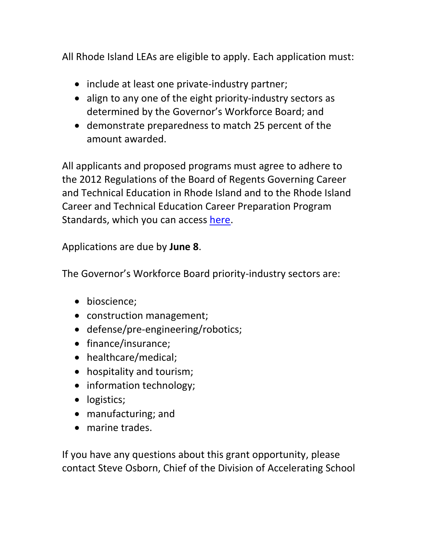All Rhode Island LEAs are eligible to apply. Each application must:

- include at least one private-industry partner;
- align to any one of the eight priority-industry sectors as determined by the Governor's Workforce Board; and
- demonstrate preparedness to match 25 percent of the amount awarded.

All applicants and proposed programs must agree to adhere to the 2012 Regulations of the Board of Regents Governing Career and Technical Education in Rhode Island and to the Rhode Island Career and Technical Education Career Preparation Program Standards, which you can access [here.](http://sos.ri.gov/documents/archives/regdocs/released/pdf/DESE/6665.pdf)

Applications are due by **June 8**.

The Governor's Workforce Board priority-industry sectors are:

- bioscience;
- construction management;
- defense/pre-engineering/robotics;
- finance/insurance;
- healthcare/medical;
- hospitality and tourism;
- information technology;
- logistics;
- manufacturing; and
- marine trades.

If you have any questions about this grant opportunity, please contact Steve Osborn, Chief of the Division of Accelerating School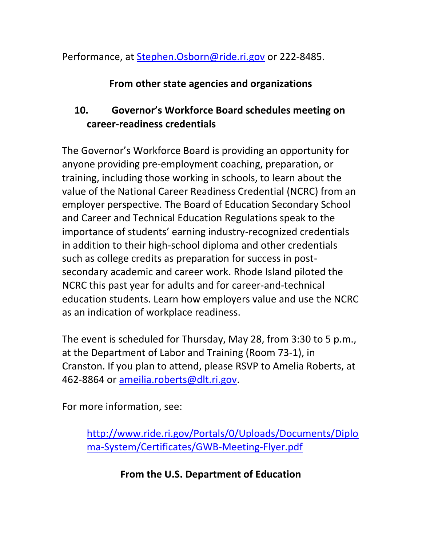Performance, at [Stephen.Osborn@ride.ri.gov](mailto:Stephen.Osborn@ride.ri.gov) or 222-8485.

### **From other state agencies and organizations**

# <span id="page-17-0"></span>**10. Governor's Workforce Board schedules meeting on career-readiness credentials**

The Governor's Workforce Board is providing an opportunity for anyone providing pre-employment coaching, preparation, or training, including those working in schools, to learn about the value of the National Career Readiness Credential (NCRC) from an employer perspective. The Board of Education Secondary School and Career and Technical Education Regulations speak to the importance of students' earning industry-recognized credentials in addition to their high-school diploma and other credentials such as college credits as preparation for success in postsecondary academic and career work. Rhode Island piloted the NCRC this past year for adults and for career-and-technical education students. Learn how employers value and use the NCRC as an indication of workplace readiness.

The event is scheduled for Thursday, May 28, from 3:30 to 5 p.m., at the Department of Labor and Training (Room 73-1), in Cranston. If you plan to attend, please RSVP to Amelia Roberts, at 462-8864 or [ameilia.roberts@dlt.ri.gov.](mailto:ameilia.roberts@dlt.ri.gov)

For more information, see:

[http://www.ride.ri.gov/Portals/0/Uploads/Documents/Diplo](http://www.ride.ri.gov/Portals/0/Uploads/Documents/Diploma-System/Certificates/GWB-Meeting-Flyer.pdf) [ma-System/Certificates/GWB-Meeting-Flyer.pdf](http://www.ride.ri.gov/Portals/0/Uploads/Documents/Diploma-System/Certificates/GWB-Meeting-Flyer.pdf)

**From the U.S. Department of Education**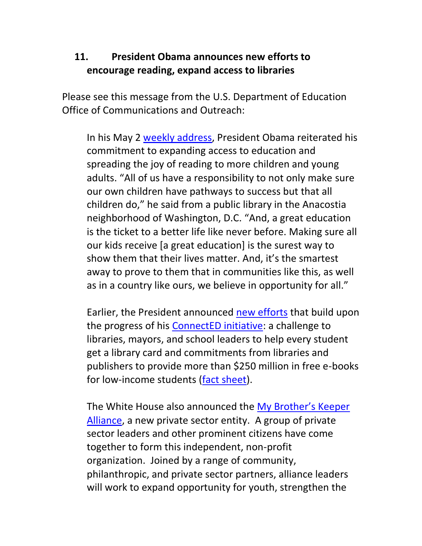## <span id="page-18-0"></span>**11. President Obama announces new efforts to encourage reading, expand access to libraries**

Please see this message from the U.S. Department of Education Office of Communications and Outreach:

In his May 2 [weekly address,](https://www.whitehouse.gov/blog/2015/05/02/weekly-address-ensuring-every-child-gets-great-education) President Obama reiterated his commitment to expanding access to education and spreading the joy of reading to more children and young adults. "All of us have a responsibility to not only make sure our own children have pathways to success but that all children do," he said from a public library in the Anacostia neighborhood of Washington, D.C. "And, a great education is the ticket to a better life like never before. Making sure all our kids receive [a great education] is the surest way to show them that their lives matter. And, it's the smartest away to prove to them that in communities like this, as well as in a country like ours, we believe in opportunity for all."

Earlier, the President announced [new efforts](https://www.whitehouse.gov/blog/2015/04/30/connected-open-books-and-open-doors) that build upon the progress of his [ConnectED initiative:](https://www.whitehouse.gov/issues/education/k-12/connected) a challenge to libraries, mayors, and school leaders to help every student get a library card and commitments from libraries and publishers to provide more than \$250 million in free e-books for low-income students [\(fact sheet\)](https://www.whitehouse.gov/the-press-office/2015/04/30/fact-sheet-spreading-joy-reading-more-children-and-young-adults).

The White House also announced the [My Brother's Keeper](https://www.whitehouse.gov/blog/2015/05/04/expanding-opportunity-works)  [Alliance,](https://www.whitehouse.gov/blog/2015/05/04/expanding-opportunity-works) a new private sector entity. A group of private sector leaders and other prominent citizens have come together to form this independent, non-profit organization. Joined by a range of community, philanthropic, and private sector partners, alliance leaders will work to expand opportunity for youth, strengthen the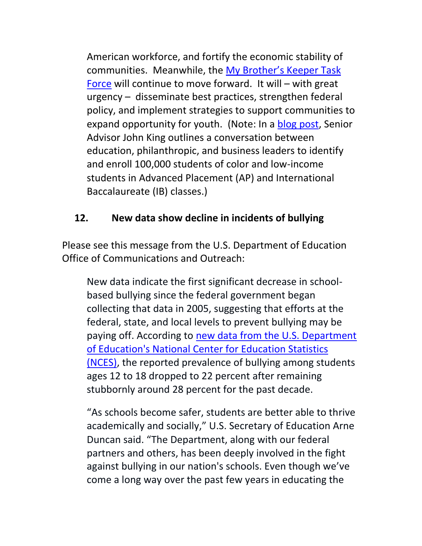American workforce, and fortify the economic stability of communities. Meanwhile, the [My Brother's Keeper Task](https://www.whitehouse.gov/my-brothers-keeper)  [Force](https://www.whitehouse.gov/my-brothers-keeper) will continue to move forward. It will – with great urgency – disseminate best practices, strengthen federal policy, and implement strategies to support communities to expand opportunity for youth. (Note: In a [blog post,](http://www.ed.gov/blog/2015/04/my-brothers-keeper-initiative-helping-to-ensure-access-to-advanced-high-school-classes/) Senior Advisor John King outlines a conversation between education, philanthropic, and business leaders to identify and enroll 100,000 students of color and low-income students in Advanced Placement (AP) and International Baccalaureate (IB) classes.)

# <span id="page-19-0"></span>**12. New data show decline in incidents of bullying**

Please see this message from the U.S. Department of Education Office of Communications and Outreach:

New data indicate the first significant decrease in schoolbased bullying since the federal government began collecting that data in 2005, suggesting that efforts at the federal, state, and local levels to prevent bullying may be paying off. According to new data from the U.S. Department [of Education's National Center for Education Statistics](http://nces.ed.gov/blogs/nces/post/measuring-student-safety-bullying-rates-at-school)  [\(NCES\),](http://nces.ed.gov/blogs/nces/post/measuring-student-safety-bullying-rates-at-school) the reported prevalence of bullying among students ages 12 to 18 dropped to 22 percent after remaining stubbornly around 28 percent for the past decade.

"As schools become safer, students are better able to thrive academically and socially," U.S. Secretary of Education Arne Duncan said. "The Department, along with our federal partners and others, has been deeply involved in the fight against bullying in our nation's schools. Even though we've come a long way over the past few years in educating the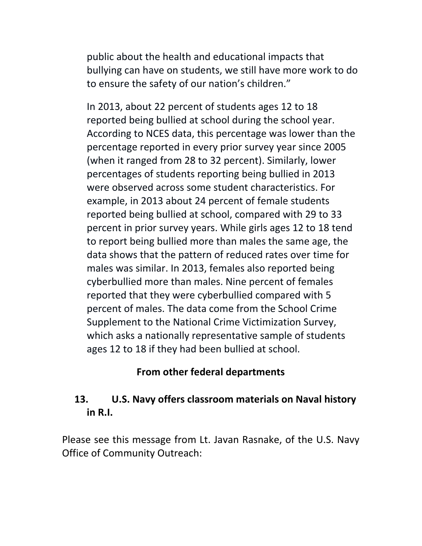public about the health and educational impacts that bullying can have on students, we still have more work to do to ensure the safety of our nation's children."

In 2013, about 22 percent of students ages 12 to 18 reported being bullied at school during the school year. According to NCES data, this percentage was lower than the percentage reported in every prior survey year since 2005 (when it ranged from 28 to 32 percent). Similarly, lower percentages of students reporting being bullied in 2013 were observed across some student characteristics. For example, in 2013 about 24 percent of female students reported being bullied at school, compared with 29 to 33 percent in prior survey years. While girls ages 12 to 18 tend to report being bullied more than males the same age, the data shows that the pattern of reduced rates over time for males was similar. In 2013, females also reported being cyberbullied more than males. Nine percent of females reported that they were cyberbullied compared with 5 percent of males. The data come from the School Crime Supplement to the National Crime Victimization Survey, which asks a nationally representative sample of students ages 12 to 18 if they had been bullied at school.

### **From other federal departments**

## <span id="page-20-0"></span>**13. U.S. Navy offers classroom materials on Naval history in R.I.**

Please see this message from Lt. Javan Rasnake, of the U.S. Navy Office of Community Outreach: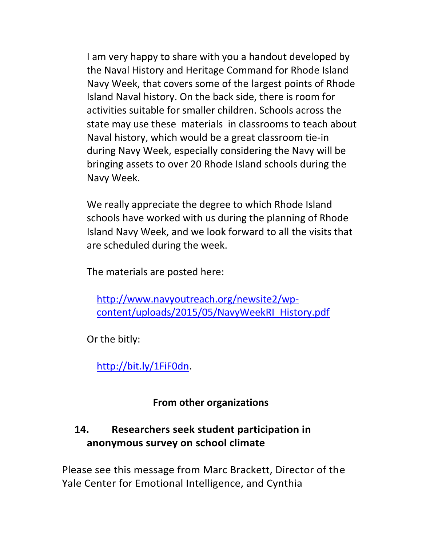I am very happy to share with you a handout developed by the Naval History and Heritage Command for Rhode Island Navy Week, that covers some of the largest points of Rhode Island Naval history. On the back side, there is room for activities suitable for smaller children. Schools across the state may use these materials in classrooms to teach about Naval history, which would be a great classroom tie-in during Navy Week, especially considering the Navy will be bringing assets to over 20 Rhode Island schools during the Navy Week.

We really appreciate the degree to which Rhode Island schools have worked with us during the planning of Rhode Island Navy Week, and we look forward to all the visits that are scheduled during the week.

The materials are posted here:

[http://www.navyoutreach.org/newsite2/wp](http://www.navyoutreach.org/newsite2/wp-content/uploads/2015/05/NavyWeekRI_History.pdf)[content/uploads/2015/05/NavyWeekRI\\_History.pdf](http://www.navyoutreach.org/newsite2/wp-content/uploads/2015/05/NavyWeekRI_History.pdf)

Or the bitly:

[http://bit.ly/1FiF0dn.](http://bit.ly/1FiF0dn)

## **From other organizations**

# <span id="page-21-0"></span>**14. Researchers seek student participation in anonymous survey on school climate**

Please see this message from Marc Brackett, Director of the Yale Center for Emotional Intelligence, and Cynthia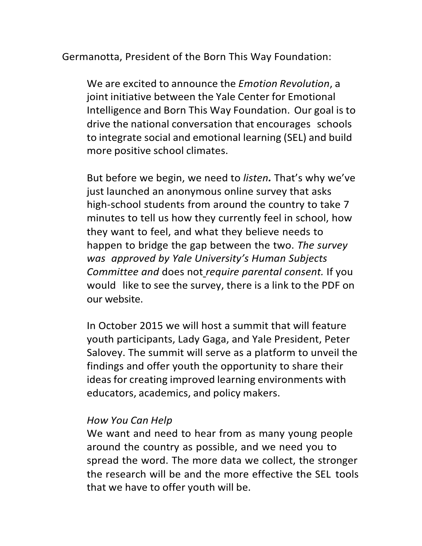Germanotta, President of the Born This Way Foundation:

We are excited to announce the *Emotion Revolution*, a joint initiative between the Yale Center for Emotional Intelligence and Born This Way Foundation. Our goal is to drive the national conversation that encourages schools to integrate social and emotional learning (SEL) and build more positive school climates.

But before we begin, we need to *listen.* That's why we've just launched an anonymous online survey that asks high-school students from around the country to take 7 minutes to tell us how they currently feel in school, how they want to feel, and what they believe needs to happen to bridge the gap between the two. *The survey was approved by Yale University's Human Subjects Committee and* does not *require parental consent.* If you would like to see the survey, there is a link to the PDF on our website.

In October 2015 we will host a summit that will feature youth participants, Lady Gaga, and Yale President, Peter Salovey. The summit will serve as a platform to unveil the findings and offer youth the opportunity to share their ideas for creating improved learning environments with educators, academics, and policy makers.

#### *How You Can Help*

We want and need to hear from as many young people around the country as possible, and we need you to spread the word. The more data we collect, the stronger the research will be and the more effective the SEL tools that we have to offer youth will be.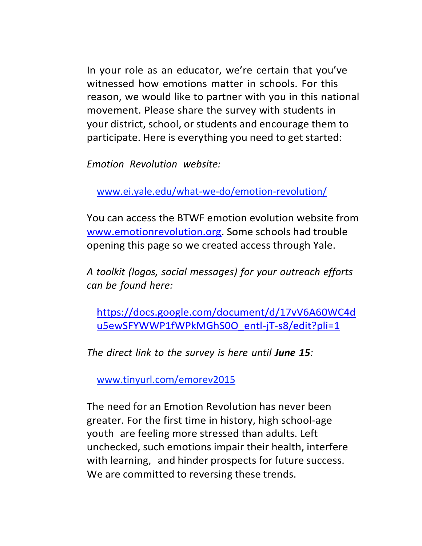In your role as an educator, we're certain that you've witnessed how emotions matter in schools. For this reason, we would like to partner with you in this national movement. Please share the survey with students in your district, school, or students and encourage them to participate. Here is everything you need to get started:

*Emotion Revolution website:*

[www.ei.yale.edu/what-we-do/emotion-revolution/](http://www.ei.yale.edu/what-we-do/emotion-revolution/)

You can access the BTWF emotion evolution website from [www.emotionrevolution.org.](http://www.emotionrevolution.org/) Some schools had trouble opening this page so we created access through Yale.

*A toolkit (logos, social messages) for your outreach efforts can be found here:*

https://docs.google.com/document/d/17vV6A60WC4d u5ewSFYWWP1fWPkMGhS0O\_entl-jT-s8/edit?pli=1

*The direct link to the survey is here until June 15:*

[www.tinyurl.com/emorev2015](http://www.tinyurl.com/emorev2015)

The need for an Emotion Revolution has never been greater. For the first time in history, high school-age youth are feeling more stressed than adults. Left unchecked, such emotions impair their health, interfere with learning, and hinder prospects for future success. We are committed to reversing these trends.